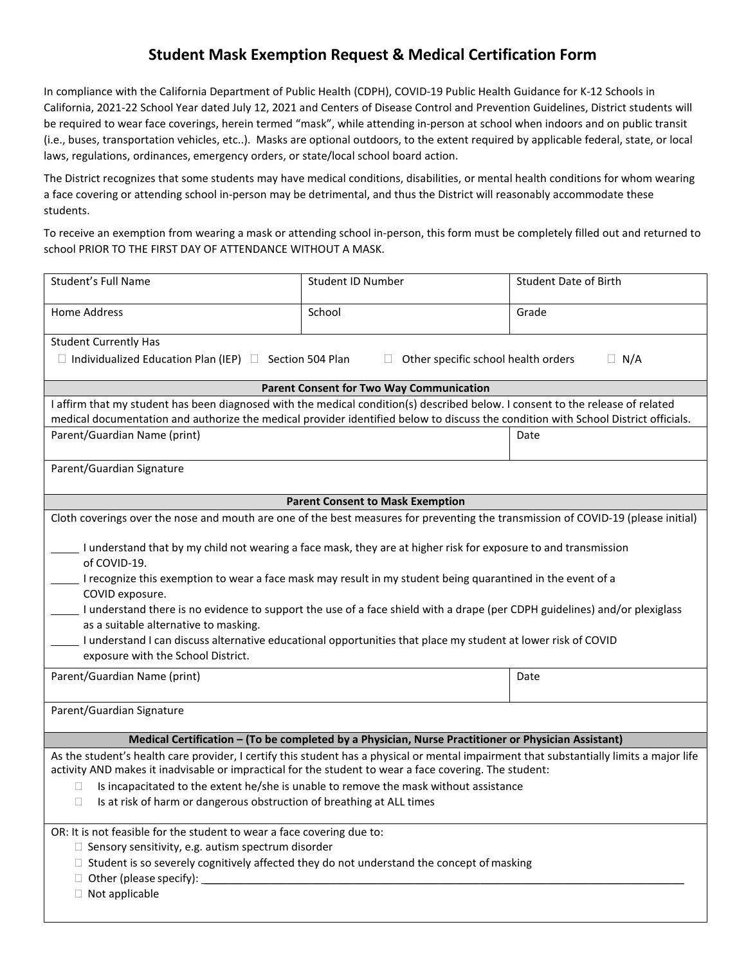## **Student Mask Exemption Request & Medical Certification Form**

In compliance with the California Department of Public Health (CDPH), COVID-19 Public Health Guidance for K-12 Schools in California, 2021-22 School Year dated July 12, 2021 and Centers of Disease Control and Prevention Guidelines, District students will be required to wear face coverings, herein termed "mask", while attending in-person at school when indoors and on public transit (i.e., buses, transportation vehicles, etc..). Masks are optional outdoors, to the extent required by applicable federal, state, or local laws, regulations, ordinances, emergency orders, or state/local school board action.

The District recognizes that some students may have medical conditions, disabilities, or mental health conditions for whom wearing a face covering or attending school in-person may be detrimental, and thus the District will reasonably accommodate these students.

To receive an exemption from wearing a mask or attending school in-person, this form must be completely filled out and returned to school PRIOR TO THE FIRST DAY OF ATTENDANCE WITHOUT A MASK.

| Student's Full Name                                                                                                                                                                                                                                                                                                                                                                                                                                                                                                                                                                             | Student ID Number | <b>Student Date of Birth</b> |  |
|-------------------------------------------------------------------------------------------------------------------------------------------------------------------------------------------------------------------------------------------------------------------------------------------------------------------------------------------------------------------------------------------------------------------------------------------------------------------------------------------------------------------------------------------------------------------------------------------------|-------------------|------------------------------|--|
| <b>Home Address</b>                                                                                                                                                                                                                                                                                                                                                                                                                                                                                                                                                                             | School            | Grade                        |  |
| <b>Student Currently Has</b>                                                                                                                                                                                                                                                                                                                                                                                                                                                                                                                                                                    |                   |                              |  |
| $\Box$ Individualized Education Plan (IEP) $\Box$ Section 504 Plan<br>$\Box$ N/A<br>Other specific school health orders<br>$\Box$                                                                                                                                                                                                                                                                                                                                                                                                                                                               |                   |                              |  |
| <b>Parent Consent for Two Way Communication</b>                                                                                                                                                                                                                                                                                                                                                                                                                                                                                                                                                 |                   |                              |  |
| I affirm that my student has been diagnosed with the medical condition(s) described below. I consent to the release of related                                                                                                                                                                                                                                                                                                                                                                                                                                                                  |                   |                              |  |
| medical documentation and authorize the medical provider identified below to discuss the condition with School District officials.                                                                                                                                                                                                                                                                                                                                                                                                                                                              |                   |                              |  |
| Parent/Guardian Name (print)                                                                                                                                                                                                                                                                                                                                                                                                                                                                                                                                                                    |                   | Date                         |  |
| Parent/Guardian Signature                                                                                                                                                                                                                                                                                                                                                                                                                                                                                                                                                                       |                   |                              |  |
| <b>Parent Consent to Mask Exemption</b>                                                                                                                                                                                                                                                                                                                                                                                                                                                                                                                                                         |                   |                              |  |
| Cloth coverings over the nose and mouth are one of the best measures for preventing the transmission of COVID-19 (please initial)                                                                                                                                                                                                                                                                                                                                                                                                                                                               |                   |                              |  |
| I understand that by my child not wearing a face mask, they are at higher risk for exposure to and transmission<br>of COVID-19.<br>I recognize this exemption to wear a face mask may result in my student being quarantined in the event of a<br>COVID exposure.<br>I understand there is no evidence to support the use of a face shield with a drape (per CDPH guidelines) and/or plexiglass<br>as a suitable alternative to masking.<br>I understand I can discuss alternative educational opportunities that place my student at lower risk of COVID<br>exposure with the School District. |                   |                              |  |
| Parent/Guardian Name (print)                                                                                                                                                                                                                                                                                                                                                                                                                                                                                                                                                                    |                   | Date                         |  |
| Parent/Guardian Signature                                                                                                                                                                                                                                                                                                                                                                                                                                                                                                                                                                       |                   |                              |  |
| Medical Certification - (To be completed by a Physician, Nurse Practitioner or Physician Assistant)                                                                                                                                                                                                                                                                                                                                                                                                                                                                                             |                   |                              |  |
| As the student's health care provider, I certify this student has a physical or mental impairment that substantially limits a major life<br>activity AND makes it inadvisable or impractical for the student to wear a face covering. The student:<br>Is incapacitated to the extent he/she is unable to remove the mask without assistance<br>Ш<br>Is at risk of harm or dangerous obstruction of breathing at ALL times<br>□                                                                                                                                                                  |                   |                              |  |
| OR: It is not feasible for the student to wear a face covering due to:<br>$\Box$ Sensory sensitivity, e.g. autism spectrum disorder<br>$\Box$ Student is so severely cognitively affected they do not understand the concept of masking<br>$\Box$ Other (please specify): $\Box$<br>$\Box$ Not applicable                                                                                                                                                                                                                                                                                       |                   |                              |  |